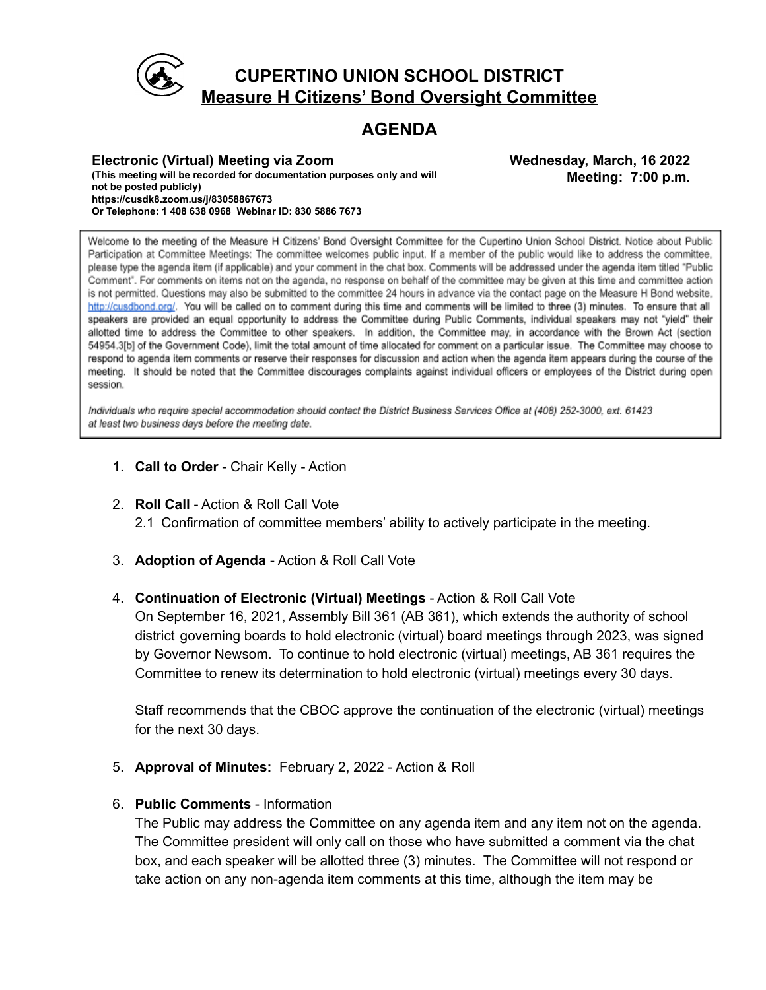

### **CUPERTINO UNION SCHOOL DISTRICT Measure H Citizens' Bond Oversight Committee**

## **AGENDA**

**Electronic (Virtual) Meeting via Zoom (This meeting will be recorded for documentation purposes only and will not be posted publicly) https://cusdk8.zoom.us/j/83058867673 Or Telephone: 1 408 638 0968 Webinar ID: 830 5886 7673**

**Wednesday, March, 16 2022 Meeting: 7:00 p.m.**

Welcome to the meeting of the Measure H Citizens' Bond Oversight Committee for the Cupertino Union School District. Notice about Public Participation at Committee Meetings: The committee welcomes public input. If a member of the public would like to address the committee, please type the agenda item (if applicable) and your comment in the chat box. Comments will be addressed under the agenda item titled "Public Comment". For comments on items not on the agenda, no response on behalf of the committee may be given at this time and committee action is not permitted. Questions may also be submitted to the committee 24 hours in advance via the contact page on the Measure H Bond website, http://cusdbond.org/. You will be called on to comment during this time and comments will be limited to three (3) minutes. To ensure that all speakers are provided an equal opportunity to address the Committee during Public Comments, individual speakers may not "yield" their allotted time to address the Committee to other speakers. In addition, the Committee may, in accordance with the Brown Act (section 54954.3[b] of the Government Code), limit the total amount of time allocated for comment on a particular issue. The Committee may choose to respond to agenda item comments or reserve their responses for discussion and action when the agenda item appears during the course of the meeting. It should be noted that the Committee discourages complaints against individual officers or employees of the District during open session.

Individuals who require special accommodation should contact the District Business Services Office at (408) 252-3000, ext. 61423 at least two business days before the meeting date.

- 1. **Call to Order** Chair Kelly Action
- 2. **Roll Call** Action & Roll Call Vote 2.1 Confirmation of committee members' ability to actively participate in the meeting.
- 3. **Adoption of Agenda** Action & Roll Call Vote
- 4. **Continuation of Electronic (Virtual) Meetings** Action & Roll Call Vote

On September 16, 2021, Assembly Bill 361 (AB 361), which extends the authority of school district governing boards to hold electronic (virtual) board meetings through 2023, was signed by Governor Newsom. To continue to hold electronic (virtual) meetings, AB 361 requires the Committee to renew its determination to hold electronic (virtual) meetings every 30 days.

Staff recommends that the CBOC approve the continuation of the electronic (virtual) meetings for the next 30 days.

5. **Approval of Minutes:** February 2, 2022 - Action & Roll

### 6. **Public Comments** - Information

The Public may address the Committee on any agenda item and any item not on the agenda. The Committee president will only call on those who have submitted a comment via the chat box, and each speaker will be allotted three (3) minutes. The Committee will not respond or take action on any non-agenda item comments at this time, although the item may be